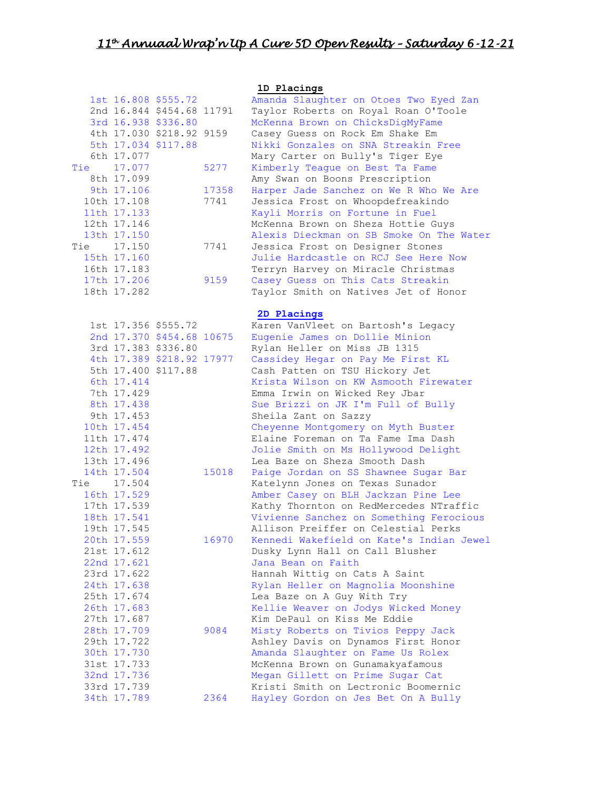|     |                            |                           |       | 1D Placings                              |
|-----|----------------------------|---------------------------|-------|------------------------------------------|
|     |                            | 1st 16.808 \$555.72       |       | Amanda Slaughter on Otoes Two Eyed Zan   |
|     |                            | 2nd 16.844 \$454.68 11791 |       | Taylor Roberts on Royal Roan O'Toole     |
|     |                            | 3rd 16.938 \$336.80       |       | McKenna Brown on ChicksDigMyFame         |
|     |                            | 4th 17.030 \$218.92 9159  |       | Casey Guess on Rock Em Shake Em          |
|     |                            | 5th 17.034 \$117.88       |       | Nikki Gonzales on SNA Streakin Free      |
|     | 6th 17.077                 |                           |       | Mary Carter on Bully's Tiger Eye         |
| Tie | 17.077                     |                           | 5277  | Kimberly Teague on Best Ta Fame          |
|     | 8th 17.099                 |                           |       | Amy Swan on Boons Prescription           |
|     | 9th 17.106                 |                           | 17358 | Harper Jade Sanchez on We R Who We Are   |
|     | 10th 17.108                |                           | 7741  | Jessica Frost on Whoopdefreakindo        |
|     | 11th 17.133                |                           |       | Kayli Morris on Fortune in Fuel          |
|     | 12th 17.146                |                           |       | McKenna Brown on Sheza Hottie Guys       |
|     | 13th 17.150                |                           |       | Alexis Dieckman on SB Smoke On The Water |
| Tie | 17.150                     |                           | 7741  | Jessica Frost on Designer Stones         |
|     | 15th 17.160<br>16th 17.183 |                           |       | Julie Hardcastle on RCJ See Here Now     |
|     |                            |                           | 9159  | Terryn Harvey on Miracle Christmas       |
|     | 17th 17.206                |                           |       | Casey Guess on This Cats Streakin        |
|     | 18th 17.282                |                           |       | Taylor Smith on Natives Jet of Honor     |
|     |                            |                           |       | 2D Placings                              |
|     |                            | 1st 17.356 \$555.72       |       | Karen VanVleet on Bartosh's Legacy       |
|     |                            | 2nd 17.370 \$454.68 10675 |       | Eugenie James on Dollie Minion           |
|     |                            | 3rd 17.383 \$336.80       |       | Rylan Heller on Miss JB 1315             |
|     |                            | 4th 17.389 \$218.92 17977 |       | Cassidey Hegar on Pay Me First KL        |
|     |                            | 5th 17.400 \$117.88       |       | Cash Patten on TSU Hickory Jet           |
|     | 6th 17.414                 |                           |       | Krista Wilson on KW Asmooth Firewater    |
|     | 7th 17.429                 |                           |       | Emma Irwin on Wicked Rey Jbar            |
|     | 8th 17.438                 |                           |       | Sue Brizzi on JK I'm Full of Bully       |
|     | 9th 17.453                 |                           |       | Sheila Zant on Sazzy                     |
|     | 10th 17.454                |                           |       | Cheyenne Montgomery on Myth Buster       |
|     | 11th 17.474                |                           |       | Elaine Foreman on Ta Fame Ima Dash       |
|     | 12th 17.492                |                           |       | Jolie Smith on Ms Hollywood Delight      |
|     | 13th 17.496                |                           |       | Lea Baze on Sheza Smooth Dash            |
|     | 14th 17.504                |                           | 15018 | Paige Jordan on SS Shawnee Sugar Bar     |
| Tie | 17.504                     |                           |       | Katelynn Jones on Texas Sunador          |
|     | 16th 17.529                |                           |       | Amber Casey on BLH Jackzan Pine Lee      |
|     | 17th 17.539                |                           |       | Kathy Thornton on RedMercedes NTraffic   |
|     | 18th 17.541                |                           |       | Vivienne Sanchez on Something Ferocious  |
|     | 19th 17.545                |                           |       | Allison Preiffer on Celestial Perks      |
|     | 20th 17.559                |                           | 16970 | Kennedi Wakefield on Kate's Indian Jewel |
|     | 21st 17.612                |                           |       | Dusky Lynn Hall on Call Blusher          |
|     | 22nd 17.621                |                           |       | Jana Bean on Faith                       |
|     | 23rd 17.622                |                           |       | Hannah Wittig on Cats A Saint            |
|     | 24th 17.638                |                           |       | Rylan Heller on Magnolia Moonshine       |
|     | 25th 17.674                |                           |       | Lea Baze on A Guy With Try               |
|     | 26th 17.683                |                           |       | Kellie Weaver on Jodys Wicked Money      |
|     | 27th 17.687                |                           |       | Kim DePaul on Kiss Me Eddie              |
|     | 28th 17.709                |                           | 9084  | Misty Roberts on Tivios Peppy Jack       |
|     | 29th 17.722                |                           |       | Ashley Davis on Dynamos First Honor      |
|     | 30th 17.730                |                           |       | Amanda Slaughter on Fame Us Rolex        |
|     | 31st 17.733                |                           |       | McKenna Brown on Gunamakyafamous         |
|     | 32nd 17.736                |                           |       | Megan Gillett on Prime Sugar Cat         |
|     | 33rd 17.739                |                           |       | Kristi Smith on Lectronic Boomernic      |
|     | 34th 17.789                |                           | 2364  | Hayley Gordon on Jes Bet On A Bully      |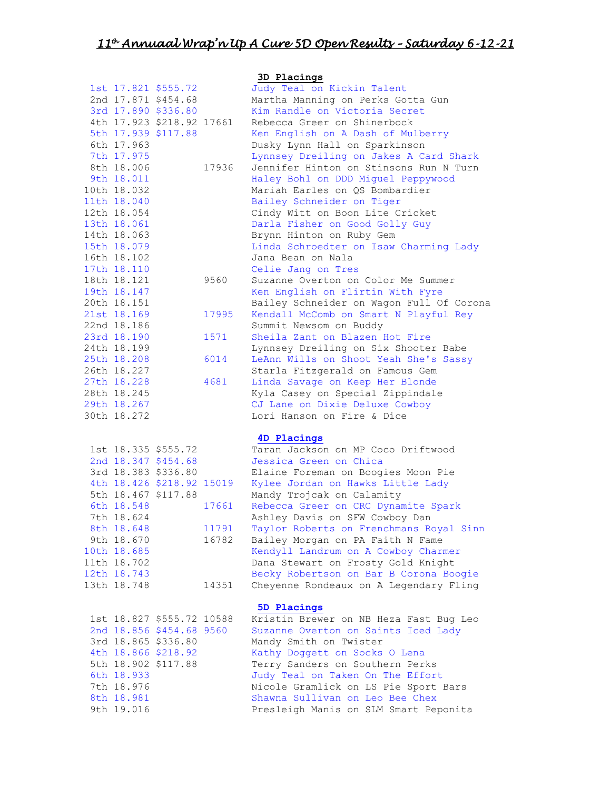|                           |       | 3D Placings                              |
|---------------------------|-------|------------------------------------------|
| 1st 17.821 \$555.72       |       | Judy Teal on Kickin Talent               |
| 2nd 17.871 \$454.68       |       | Martha Manning on Perks Gotta Gun        |
| 3rd 17.890 \$336.80       |       | Kim Randle on Victoria Secret            |
| 4th 17.923 \$218.92 17661 |       | Rebecca Greer on Shinerbock              |
|                           |       |                                          |
| 5th 17.939 \$117.88       |       | Ken English on A Dash of Mulberry        |
| 6th 17.963                |       | Dusky Lynn Hall on Sparkinson            |
| 7th 17.975                |       | Lynnsey Dreiling on Jakes A Card Shark   |
| 8th 18.006                | 17936 | Jennifer Hinton on Stinsons Run N Turn   |
| 9th 18.011                |       | Haley Bohl on DDD Miquel Peppywood       |
| 10th 18.032               |       | Mariah Earles on QS Bombardier           |
| 11th 18.040               |       | Bailey Schneider on Tiger                |
| 12th 18.054               |       | Cindy Witt on Boon Lite Cricket          |
| 13th 18.061               |       | Darla Fisher on Good Golly Guy           |
| 14th 18.063               |       | Brynn Hinton on Ruby Gem                 |
| 15th 18.079               |       | Linda Schroedter on Isaw Charming Lady   |
| 16th 18.102               |       | Jana Bean on Nala                        |
| 17th 18.110               |       | Celie Jang on Tres                       |
| 18th 18.121               | 9560  | Suzanne Overton on Color Me Summer       |
| 19th 18.147               |       | Ken English on Flirtin With Fyre         |
| 20th 18.151               |       | Bailey Schneider on Wagon Full Of Corona |
| 21st 18.169               | 17995 | Kendall McComb on Smart N Playful Rey    |
| 22nd 18.186               |       |                                          |
|                           |       | Summit Newsom on Buddy                   |
| 23rd 18.190               | 1571  | Sheila Zant on Blazen Hot Fire           |
| 24th 18.199               |       | Lynnsey Dreiling on Six Shooter Babe     |
| 25th 18.208               | 6014  | LeAnn Wills on Shoot Yeah She's Sassy    |
| 26th 18.227               |       | Starla Fitzgerald on Famous Gem          |
| 27th 18.228               | 4681  | Linda Savage on Keep Her Blonde          |
| 28th 18.245               |       | Kyla Casey on Special Zippindale         |
| 29th 18.267               |       | CJ Lane on Dixie Deluxe Cowboy           |
| 30th 18.272               |       | Lori Hanson on Fire & Dice               |
|                           |       | 4D Placings                              |
| 1st 18.335 \$555.72       |       | Taran Jackson on MP Coco Driftwood       |
| 2nd 18.347 \$454.68       |       | Jessica Green on Chica                   |
| 3rd 18.383 \$336.80       |       | Elaine Foreman on Boogies Moon Pie       |
| 4th 18.426 \$218.92 15019 |       |                                          |
| 5th 18.467 \$117.88       |       | Kylee Jordan on Hawks Little Lady        |
|                           |       | Mandy Trojcak on Calamity                |
| 6th 18.548                | 17661 | Rebecca Greer on CRC Dynamite Spark      |
| 7th 18.624                |       | Ashley Davis on SFW Cowboy Dan           |
| 8th 18.648                | 11791 | Taylor Roberts on Frenchmans Royal Sinn  |
| 9th 18.670                | 16782 | Bailey Morgan on PA Faith N Fame         |
| 10th 18.685               |       | Kendyll Landrum on A Cowboy Charmer      |
| 11th 18.702               |       | Dana Stewart on Frosty Gold Knight       |
| 12th 18.743               |       | Becky Robertson on Bar B Corona Boogie   |
| 13th 18.748               | 14351 | Cheyenne Rondeaux on A Legendary Fling   |
|                           |       | 5D Placings                              |
| 1st 18.827 \$555.72 10588 |       | Kristin Brewer on NB Heza Fast Bug Leo   |
| 2nd 18.856 \$454.68 9560  |       | Suzanne Overton on Saints Iced Lady      |
| 3rd 18.865 \$336.80       |       | Mandy Smith on Twister                   |
| 4th 18.866 \$218.92       |       | Kathy Doggett on Socks O Lena            |
| 5th 18.902 \$117.88       |       | Terry Sanders on Southern Perks          |
| 6th 18.933                |       | Judy Teal on Taken On The Effort         |
| 7th 18.976                |       | Nicole Gramlick on LS Pie Sport Bars     |
| 8th 18.981                |       | Shawna Sullivan on Leo Bee Chex          |
|                           |       |                                          |
| 9th 19.016                |       | Presleigh Manis on SLM Smart Peponita    |

Presleigh Manis on SLM Smart Peponita